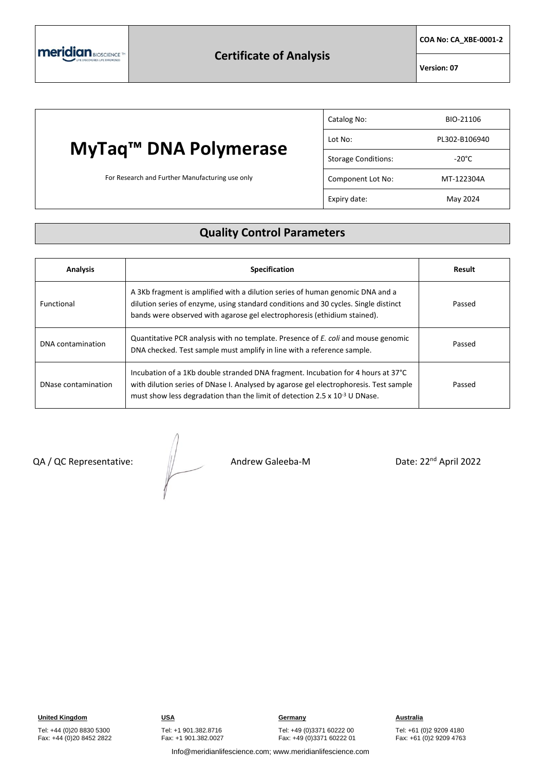**COA No: CA\_XBE-0001-2**

**Version: 07**

## **MyTaq™ DNA Polymerase**

For Research and Further Manufacturing use only

| Catalog No:                | BIO-21106       |
|----------------------------|-----------------|
| Lot No:                    | PL302-B106940   |
| <b>Storage Conditions:</b> | $-20^{\circ}$ C |
| Component Lot No:          | MT-122304A      |
| Expiry date:               | May 2024        |

## **Quality Control Parameters**

| <b>Analysis</b>     | <b>Specification</b>                                                                                                                                                                                                                                         | Result |
|---------------------|--------------------------------------------------------------------------------------------------------------------------------------------------------------------------------------------------------------------------------------------------------------|--------|
| Functional          | A 3Kb fragment is amplified with a dilution series of human genomic DNA and a<br>dilution series of enzyme, using standard conditions and 30 cycles. Single distinct<br>bands were observed with agarose gel electrophoresis (ethidium stained).             | Passed |
| DNA contamination   | Quantitative PCR analysis with no template. Presence of <i>E. coli</i> and mouse genomic<br>DNA checked. Test sample must amplify in line with a reference sample.                                                                                           | Passed |
| DNase contamination | Incubation of a 1Kb double stranded DNA fragment. Incubation for 4 hours at 37°C<br>with dilution series of DNase I. Analysed by agarose gel electrophoresis. Test sample<br>must show less degradation than the limit of detection 2.5 x $10^{-3}$ U DNase. | Passed |

QA / QC Representative:  $\frac{1}{2}$  Andrew Galeeba-M Date: 22<sup>nd</sup> April 2022

**United Kingdom CONSTRUMERY <b>CONSTRUMERY CONSTRUMERY Germany Construction CONSTRUMERY Australia** Tel: +49 (0)3371 60222 00 Fax: +49 (0)3371 60222 01

Tel: +61 (0)2 9209 4180 Fax: +61 (0)2 9209 4763